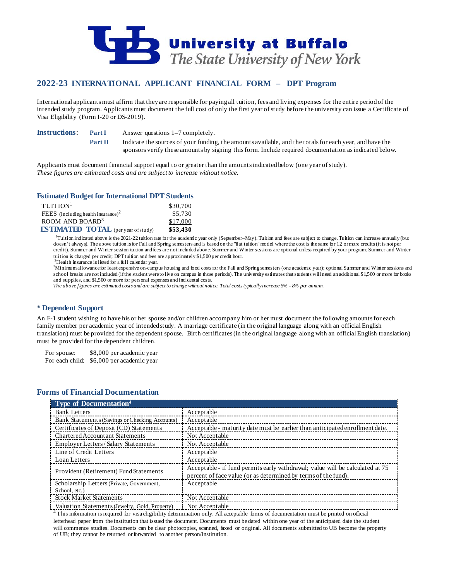

# **2022-23 INTERNATIONAL APPLICANT FINANCIAL FORM – DPT Program**

International applicants must affirm that they are responsible for paying all tuition, fees and living expenses for the entire period of the intended study program. Applicants must document the full cost of only the first year of study before the university can issue a Certificate of Visa Eligibility (Form I-20 or DS-2019).

**Instructions: Part I** Answer questions 1–7 completely.

**Part II** Indicate the sources of your funding, the amounts available, and the totals for each year, and have the sponsors verify these amounts by signing this form. Include required documentation as indicated below.

Applicants must document financial support equal to or greater than the amounts indicated below (one year of study). *These figures are estimated costs and are subject to increase without notice.*

### **Estimated Budget for International DPT Students**

| $T$ UITION <sup>1</sup>                    | \$30,700 |
|--------------------------------------------|----------|
| FEES (including health insurance) $2$      | \$5,730  |
| ROOM AND BOARD <sup>3</sup>                | \$17,000 |
| <b>ESTIMATED TOTAL</b> (per year of study) | \$53,430 |

<sup>1</sup>Tuition indicated above is the 2021-22 tuition rate for the academic year only (September–May). Tuition and fees are subject to change. Tuition can increase annually (but doesn't always). The above tuition is for Fall and Spring semesters and is based on the "flat tuition" model where the cost is the same for 12 or more credits (it is not per credit). Summer and Winter session tuition and fees are not included above; Summer and Winter sessions are optional unless required by your program; Summer and Winter tuition is charged per credit; DPT tuition and fees are approximately \$1,500 per credit hour.

 ${}^{2}$ Health insurance is listed for a full calendar year.

Minimum allowance for least expensive on-campus housing and food costs for the Fall and Spring semesters (one academic year); optional Summer and Winter sessions and school breaks are not included (if the student were to live on campus in those periods). The university estimates that students will need an additional \$1,500 or more for books and supplies, and \$1,500 or more for personal expenses and incidental costs.

*The above figures are estimated costs and are subject to change without notice. Total costs typically increase 5% - 8% per annum.*

### **Dependent Support**

An F-1 student wishing to have his or her spouse and/or children accompany him or her must document the following amounts for each family member per academic year of intended study. A marriage certificate (in the original language along with an official English translation) must be provided for the dependent spouse. Birth certificates (in the original language along with an official English translation) must be provided for the dependent children.

For spouse: \$8,000 per academic year For each child: \$6,000 per academic year

## **Forms of Financial Documentation**

| Type of Documentation <sup>4</sup>             |                                                                                                                                                 |
|------------------------------------------------|-------------------------------------------------------------------------------------------------------------------------------------------------|
| <b>Bank Letters</b>                            | Acceptable                                                                                                                                      |
| Bank Statements (Savings or Checking Accounts) | Acceptable                                                                                                                                      |
| Certificates of Deposit (CD) Statements        | Acceptable - maturity date must be earlier than anticipated enrollment date.                                                                    |
| Chartered Accountant Statements                | Not Acceptable                                                                                                                                  |
| Employer Letters / Salary Statements           | Not Acceptable                                                                                                                                  |
| Line of Credit Letters                         | Acceptable                                                                                                                                      |
| Loan Letters                                   | Acceptable                                                                                                                                      |
| Provident (Retirement) Fund Statements         | Acceptable - if fund permits early withdrawal; value will be calculated at 75<br>percent of face value (or as determined by terms of the fund). |
| Scholarship Letters (Private, Government,      | Acceptable                                                                                                                                      |
| School, etc.)                                  |                                                                                                                                                 |
| <b>Stock Market Statements</b>                 | Not Acceptable                                                                                                                                  |
| Valuation Statements (Jewelry, Gold, Property) | Not Acceptable                                                                                                                                  |

 $4$  This information is required for visa eligibility determination only. All acceptable forms of documentation must be printed on official letterhead paper from the institution that issued the document. Documents must be dated within one year of the anticipated date the student will commence studies. Documents can be clear photocopies, scanned, faxed or original. All documents submitted to UB become the property of UB; they cannot be returned or forwarded to another person/institution.